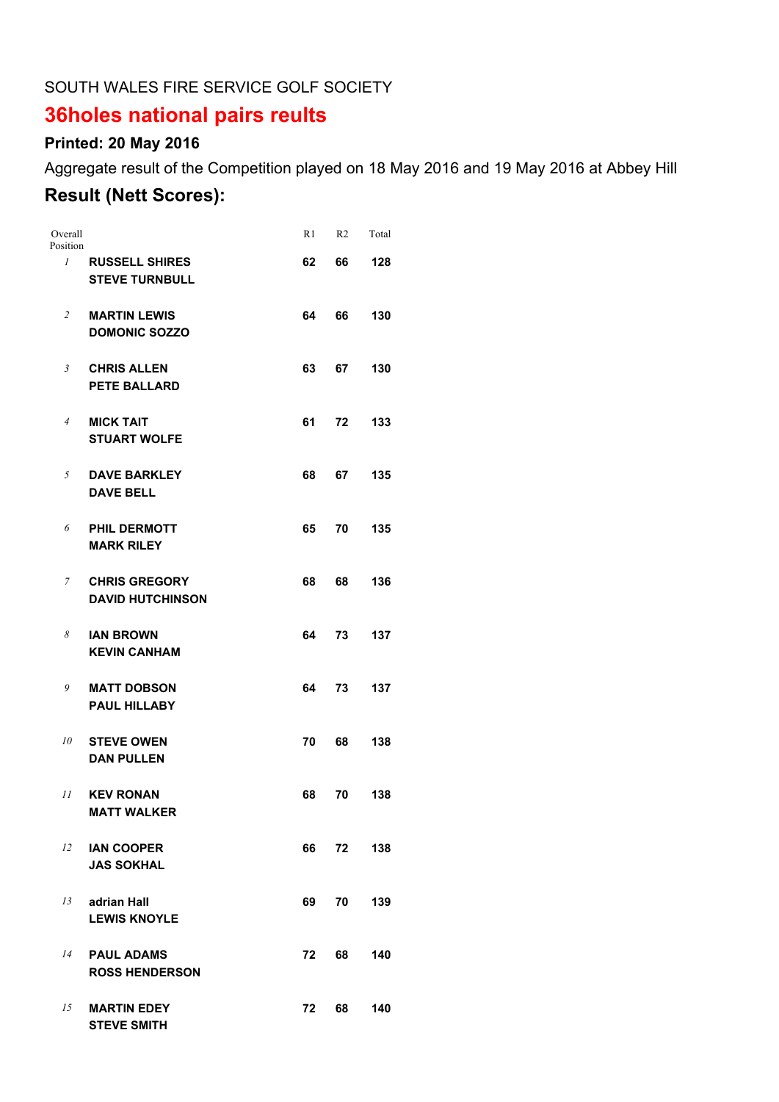#### SOUTH WALES FIRE SERVICE GOLF SOCIETY

# **36holes national pairs reults**

## **Printed: 20 May 2016**

Aggregate result of the Competition played on 18 May 2016 and 19 May 2016 at Abbey Hill

### **Result (Nett Scores):**

| Overall<br>Position |                                                 | R1 | R2 | Total |
|---------------------|-------------------------------------------------|----|----|-------|
| $\mathcal{I}$       | <b>RUSSELL SHIRES</b><br><b>STEVE TURNBULL</b>  | 62 | 66 | 128   |
| $\overline{2}$      | <b>MARTIN LEWIS</b><br><b>DOMONIC SOZZO</b>     | 64 | 66 | 130   |
| 3                   | <b>CHRIS ALLEN</b><br><b>PETE BALLARD</b>       | 63 | 67 | 130   |
| $\overline{4}$      | <b>MICK TAIT</b><br><b>STUART WOLFE</b>         | 61 | 72 | 133   |
| 5                   | <b>DAVE BARKLEY</b><br><b>DAVE BELL</b>         | 68 | 67 | 135   |
| 6                   | <b>PHIL DERMOTT</b><br><b>MARK RILEY</b>        | 65 | 70 | 135   |
| $\overline{7}$      | <b>CHRIS GREGORY</b><br><b>DAVID HUTCHINSON</b> | 68 | 68 | 136   |
| 8                   | <b>IAN BROWN</b><br><b>KEVIN CANHAM</b>         | 64 | 73 | 137   |
| 9                   | <b>MATT DOBSON</b><br><b>PAUL HILLABY</b>       | 64 | 73 | 137   |
| 10                  | <b>STEVE OWEN</b><br><b>DAN PULLEN</b>          | 70 | 68 | 138   |
| 11                  | <b>KEV RONAN</b><br><b>MATT WALKER</b>          | 68 | 70 | 138   |
| 12                  | <b>IAN COOPER</b><br><b>JAS SOKHAL</b>          | 66 | 72 | 138   |
| 13                  | adrian Hall<br><b>LEWIS KNOYLE</b>              | 69 | 70 | 139   |
| 14                  | <b>PAUL ADAMS</b><br><b>ROSS HENDERSON</b>      | 72 | 68 | 140   |
| 15                  | <b>MARTIN EDEY</b><br><b>STEVE SMITH</b>        | 72 | 68 | 140   |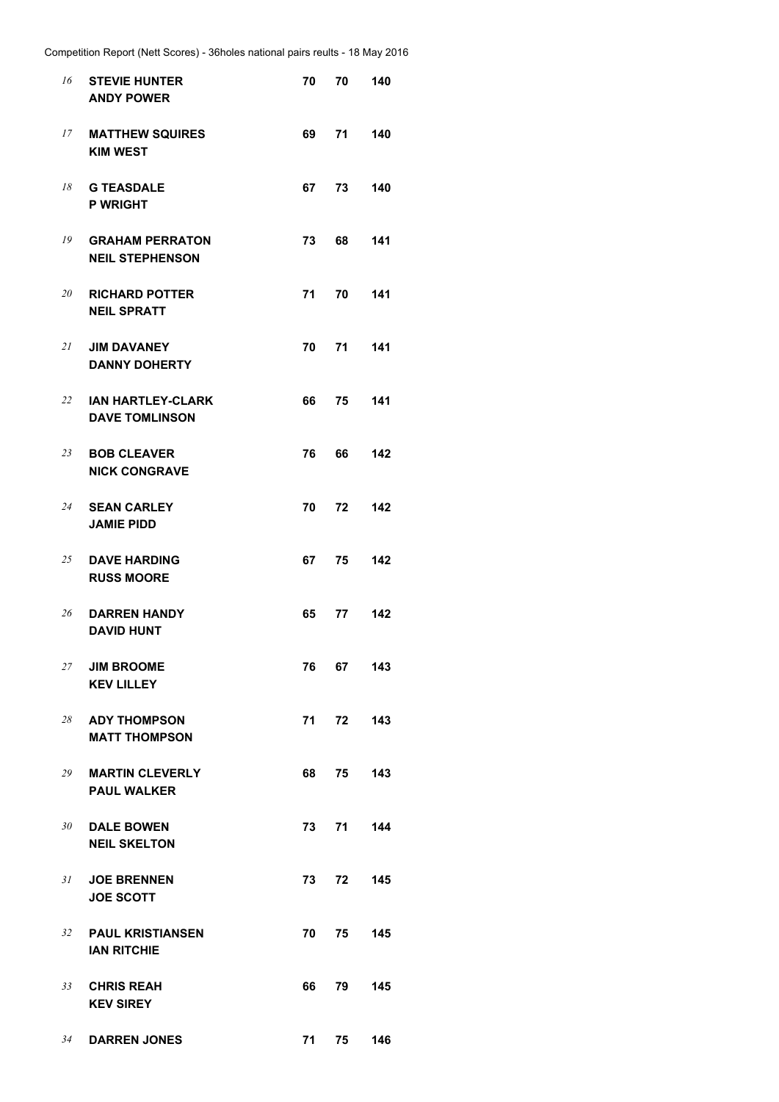| 16 | <b>STEVIE HUNTER</b><br><b>ANDY POWER</b>         | 70   | 70    | 140 |
|----|---------------------------------------------------|------|-------|-----|
| 17 | <b>MATTHEW SQUIRES</b><br><b>KIM WEST</b>         | 69   | 71    | 140 |
| 18 | <b>G TEASDALE</b><br><b>P WRIGHT</b>              | 67   | 73    | 140 |
| 19 | <b>GRAHAM PERRATON</b><br><b>NEIL STEPHENSON</b>  | 73   | 68    | 141 |
| 20 | <b>RICHARD POTTER</b><br><b>NEIL SPRATT</b>       | 71   | 70    | 141 |
| 21 | <b>JIM DAVANEY</b><br><b>DANNY DOHERTY</b>        | 70   | 71    | 141 |
| 22 | <b>IAN HARTLEY-CLARK</b><br><b>DAVE TOMLINSON</b> | 66   | 75    | 141 |
| 23 | <b>BOB CLEAVER</b><br><b>NICK CONGRAVE</b>        | 76   | 66    | 142 |
| 24 | <b>SEAN CARLEY</b><br><b>JAMIE PIDD</b>           | 70   | 72    | 142 |
| 25 | <b>DAVE HARDING</b><br><b>RUSS MOORE</b>          | 67   | 75    | 142 |
| 26 | <b>DARREN HANDY</b><br><b>DAVID HUNT</b>          | 65   | 77    | 142 |
| 27 | <b>JIM BROOME</b><br><b>KEV LILLEY</b>            | 76   | 67 -  | 143 |
| 28 | <b>ADY THOMPSON</b><br><b>MATT THOMPSON</b>       | 71 - | 72    | 143 |
| 29 | <b>MARTIN CLEVERLY</b><br><b>PAUL WALKER</b>      | 68 — | 75    | 143 |
| 30 | <b>DALE BOWEN</b><br><b>NEIL SKELTON</b>          | 73 — | 71    | 144 |
| 31 | <b>JOE BRENNEN</b><br><b>JOE SCOTT</b>            |      | 73 72 | 145 |
|    | 32 PAUL KRISTIANSEN<br><b>IAN RITCHIE</b>         | 70   | 75    | 145 |
| 33 | <b>CHRIS REAH</b><br><b>KEV SIREY</b>             | 66   | 79 -  | 145 |
| 34 | <b>DARREN JONES</b>                               | 71 — | 75 —  | 146 |